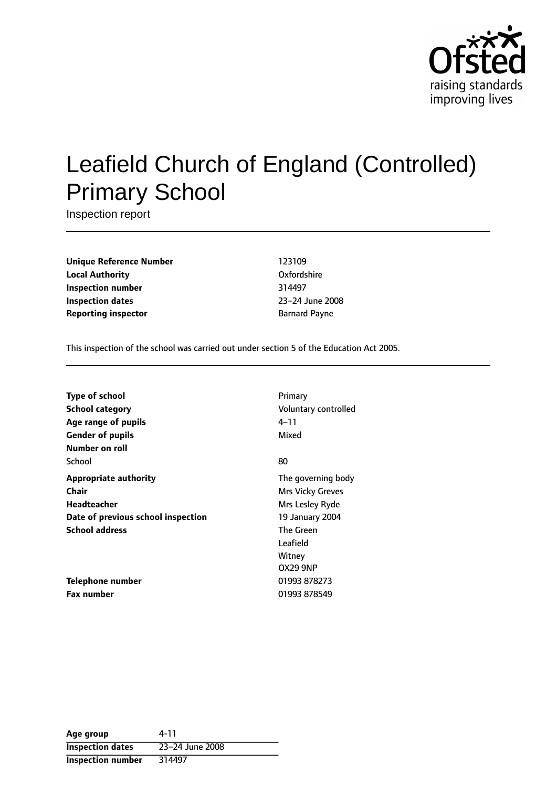

# Leafield Church of England (Controlled) Primary School

Inspection report

**Unique Reference Number** 123109 **Local Authority** Oxfordshire **Inspection number** 314497 **Inspection dates** 23-24 June 2008 **Reporting inspector Barnard Payne** 

This inspection of the school was carried out under section 5 of the Education Act 2005.

| <b>Type of school</b>              | Primary                 |
|------------------------------------|-------------------------|
| <b>School category</b>             | Voluntary controlled    |
| Age range of pupils                | 4–11                    |
| <b>Gender of pupils</b>            | Mixed                   |
| Number on roll                     |                         |
| School                             | 80                      |
| <b>Appropriate authority</b>       | The governing body      |
| Chair                              | <b>Mrs Vicky Greves</b> |
| <b>Headteacher</b>                 | Mrs Lesley Ryde         |
| Date of previous school inspection | 19 January 2004         |
| <b>School address</b>              | The Green               |
|                                    | Leafield                |
|                                    | Witney                  |
|                                    | <b>OX29 9NP</b>         |
| Telephone number                   | 01993 878273            |
| <b>Fax number</b>                  | 01993 878549            |

| Age group                | 4-11            |
|--------------------------|-----------------|
| <b>Inspection dates</b>  | 23-24 June 2008 |
| <b>Inspection number</b> | 314497          |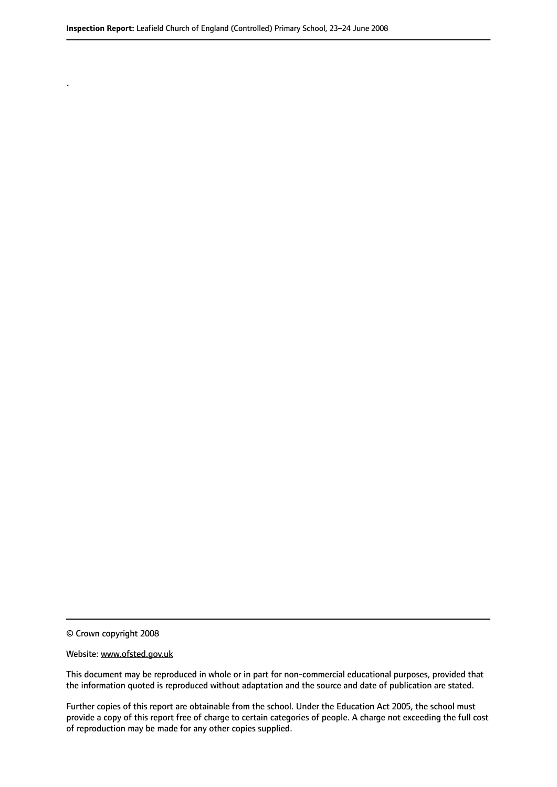© Crown copyright 2008

.

#### Website: www.ofsted.gov.uk

This document may be reproduced in whole or in part for non-commercial educational purposes, provided that the information quoted is reproduced without adaptation and the source and date of publication are stated.

Further copies of this report are obtainable from the school. Under the Education Act 2005, the school must provide a copy of this report free of charge to certain categories of people. A charge not exceeding the full cost of reproduction may be made for any other copies supplied.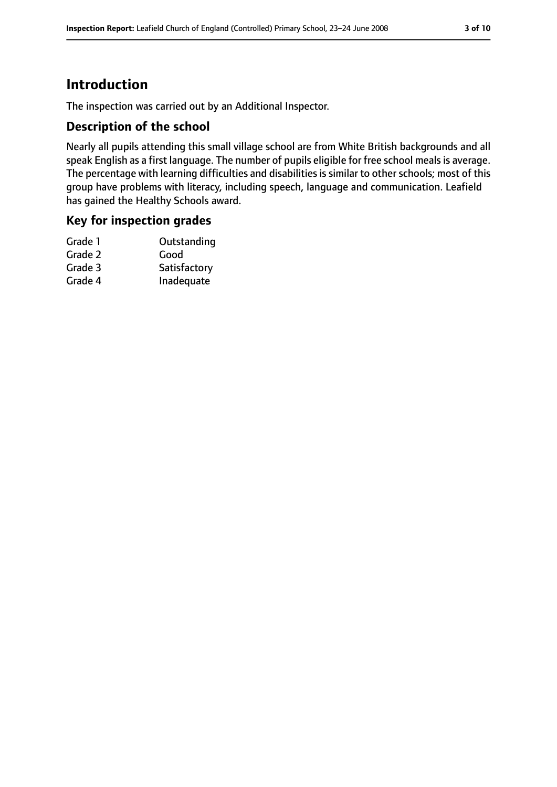# **Introduction**

The inspection was carried out by an Additional Inspector.

### **Description of the school**

Nearly all pupils attending this small village school are from White British backgrounds and all speak English as a first language. The number of pupils eligible for free school meals is average. The percentage with learning difficulties and disabilities is similar to other schools; most of this group have problems with literacy, including speech, language and communication. Leafield has gained the Healthy Schools award.

### **Key for inspection grades**

| Outstanding  |
|--------------|
| Good         |
| Satisfactory |
| Inadequate   |
|              |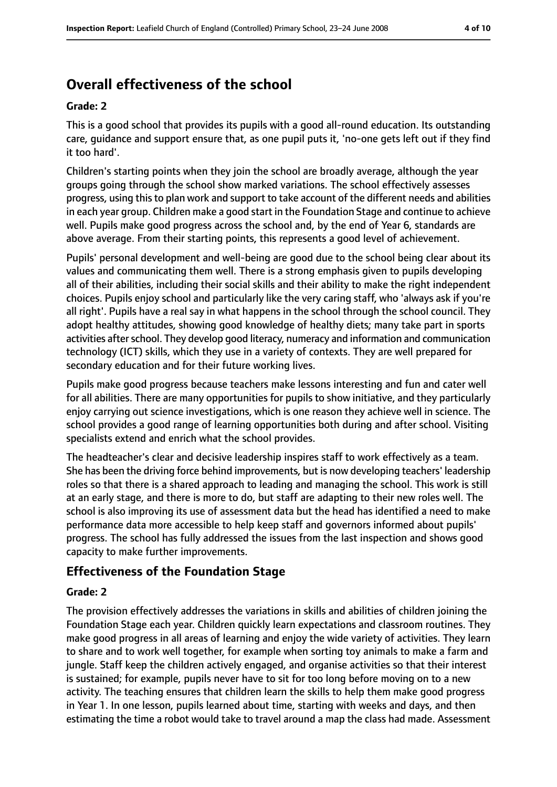# **Overall effectiveness of the school**

#### **Grade: 2**

This is a good school that provides its pupils with a good all-round education. Its outstanding care, guidance and support ensure that, as one pupil puts it, 'no-one gets left out if they find it too hard'.

Children's starting points when they join the school are broadly average, although the year groups going through the school show marked variations. The school effectively assesses progress, using thisto plan work and support to take account of the different needs and abilities in each year group. Children make a good start in the Foundation Stage and continue to achieve well. Pupils make good progress across the school and, by the end of Year 6, standards are above average. From their starting points, this represents a good level of achievement.

Pupils' personal development and well-being are good due to the school being clear about its values and communicating them well. There is a strong emphasis given to pupils developing all of their abilities, including their social skills and their ability to make the right independent choices. Pupils enjoy school and particularly like the very caring staff, who 'always ask if you're all right'. Pupils have a real say in what happens in the school through the school council. They adopt healthy attitudes, showing good knowledge of healthy diets; many take part in sports activities after school. They develop good literacy, numeracy and information and communication technology (ICT) skills, which they use in a variety of contexts. They are well prepared for secondary education and for their future working lives.

Pupils make good progress because teachers make lessons interesting and fun and cater well for all abilities. There are many opportunities for pupils to show initiative, and they particularly enjoy carrying out science investigations, which is one reason they achieve well in science. The school provides a good range of learning opportunities both during and after school. Visiting specialists extend and enrich what the school provides.

The headteacher's clear and decisive leadership inspires staff to work effectively as a team. She has been the driving force behind improvements, but is now developing teachers' leadership roles so that there is a shared approach to leading and managing the school. This work is still at an early stage, and there is more to do, but staff are adapting to their new roles well. The school is also improving its use of assessment data but the head has identified a need to make performance data more accessible to help keep staff and governors informed about pupils' progress. The school has fully addressed the issues from the last inspection and shows good capacity to make further improvements.

# **Effectiveness of the Foundation Stage**

#### **Grade: 2**

The provision effectively addresses the variations in skills and abilities of children joining the Foundation Stage each year. Children quickly learn expectations and classroom routines. They make good progress in all areas of learning and enjoy the wide variety of activities. They learn to share and to work well together, for example when sorting toy animals to make a farm and jungle. Staff keep the children actively engaged, and organise activities so that their interest is sustained; for example, pupils never have to sit for too long before moving on to a new activity. The teaching ensures that children learn the skills to help them make good progress in Year 1. In one lesson, pupils learned about time, starting with weeks and days, and then estimating the time a robot would take to travel around a map the class had made. Assessment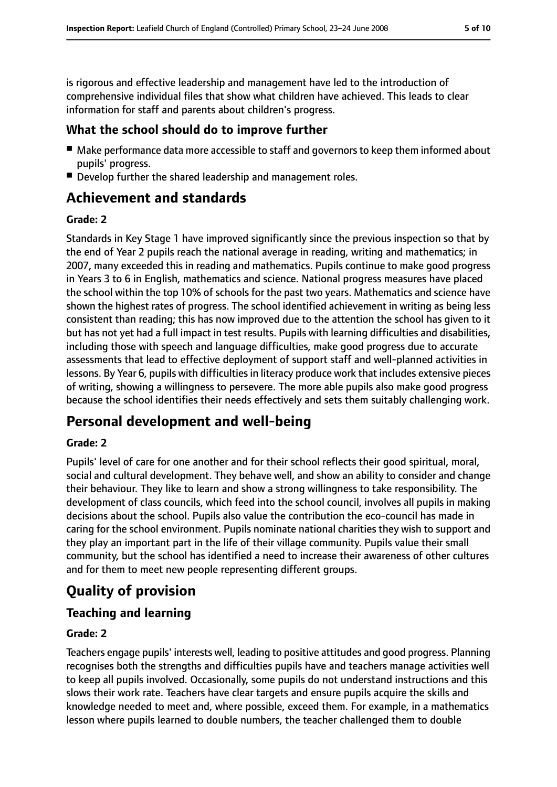is rigorous and effective leadership and management have led to the introduction of comprehensive individual files that show what children have achieved. This leads to clear information for staff and parents about children's progress.

# **What the school should do to improve further**

- Make performance data more accessible to staff and governors to keep them informed about pupils' progress.
- Develop further the shared leadership and management roles.

# **Achievement and standards**

### **Grade: 2**

Standards in Key Stage 1 have improved significantly since the previous inspection so that by the end of Year 2 pupils reach the national average in reading, writing and mathematics; in 2007, many exceeded this in reading and mathematics. Pupils continue to make good progress in Years 3 to 6 in English, mathematics and science. National progress measures have placed the school within the top 10% of schools for the past two years. Mathematics and science have shown the highest rates of progress. The school identified achievement in writing as being less consistent than reading; this has now improved due to the attention the school has given to it but has not yet had a full impact in test results. Pupils with learning difficulties and disabilities, including those with speech and language difficulties, make good progress due to accurate assessments that lead to effective deployment of support staff and well-planned activities in lessons. By Year 6, pupils with difficulties in literacy produce work that includes extensive pieces of writing, showing a willingness to persevere. The more able pupils also make good progress because the school identifies their needs effectively and sets them suitably challenging work.

# **Personal development and well-being**

### **Grade: 2**

Pupils' level of care for one another and for their school reflects their good spiritual, moral, social and cultural development. They behave well, and show an ability to consider and change their behaviour. They like to learn and show a strong willingness to take responsibility. The development of class councils, which feed into the school council, involves all pupils in making decisions about the school. Pupils also value the contribution the eco-council has made in caring for the school environment. Pupils nominate national charities they wish to support and they play an important part in the life of their village community. Pupils value their small community, but the school has identified a need to increase their awareness of other cultures and for them to meet new people representing different groups.

# **Quality of provision**

# **Teaching and learning**

### **Grade: 2**

Teachers engage pupils' interests well, leading to positive attitudes and good progress. Planning recognises both the strengths and difficulties pupils have and teachers manage activities well to keep all pupils involved. Occasionally, some pupils do not understand instructions and this slows their work rate. Teachers have clear targets and ensure pupils acquire the skills and knowledge needed to meet and, where possible, exceed them. For example, in a mathematics lesson where pupils learned to double numbers, the teacher challenged them to double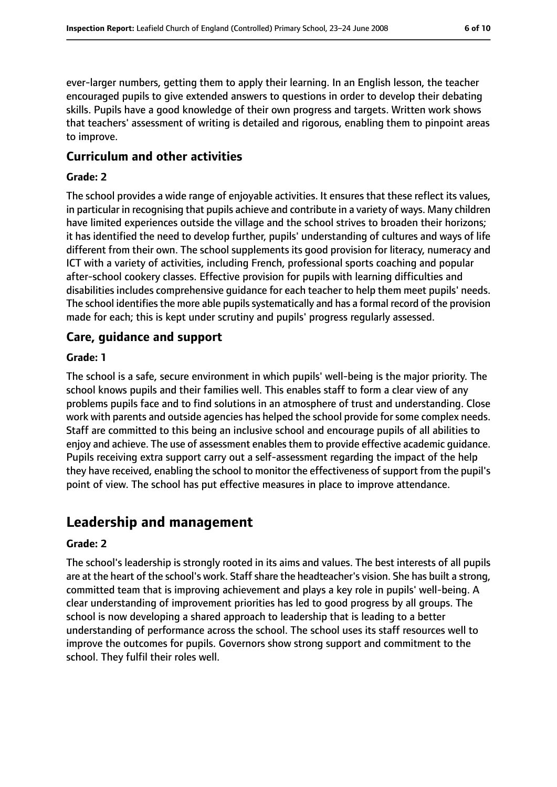ever-larger numbers, getting them to apply their learning. In an English lesson, the teacher encouraged pupils to give extended answers to questions in order to develop their debating skills. Pupils have a good knowledge of their own progress and targets. Written work shows that teachers' assessment of writing is detailed and rigorous, enabling them to pinpoint areas to improve.

#### **Curriculum and other activities**

#### **Grade: 2**

The school provides a wide range of enjoyable activities. It ensures that these reflect its values, in particular in recognising that pupils achieve and contribute in a variety of ways. Many children have limited experiences outside the village and the school strives to broaden their horizons; it has identified the need to develop further, pupils' understanding of cultures and ways of life different from their own. The school supplements its good provision for literacy, numeracy and ICT with a variety of activities, including French, professional sports coaching and popular after-school cookery classes. Effective provision for pupils with learning difficulties and disabilities includes comprehensive guidance for each teacher to help them meet pupils' needs. The school identifies the more able pupils systematically and has a formal record of the provision made for each; this is kept under scrutiny and pupils' progress regularly assessed.

#### **Care, guidance and support**

#### **Grade: 1**

The school is a safe, secure environment in which pupils' well-being is the major priority. The school knows pupils and their families well. This enables staff to form a clear view of any problems pupils face and to find solutions in an atmosphere of trust and understanding. Close work with parents and outside agencies has helped the school provide for some complex needs. Staff are committed to this being an inclusive school and encourage pupils of all abilities to enjoy and achieve. The use of assessment enables them to provide effective academic quidance. Pupils receiving extra support carry out a self-assessment regarding the impact of the help they have received, enabling the school to monitor the effectiveness of support from the pupil's point of view. The school has put effective measures in place to improve attendance.

# **Leadership and management**

#### **Grade: 2**

The school's leadership is strongly rooted in its aims and values. The best interests of all pupils are at the heart of the school's work. Staff share the headteacher's vision. She has built a strong, committed team that is improving achievement and plays a key role in pupils' well-being. A clear understanding of improvement priorities has led to good progress by all groups. The school is now developing a shared approach to leadership that is leading to a better understanding of performance across the school. The school uses its staff resources well to improve the outcomes for pupils. Governors show strong support and commitment to the school. They fulfil their roles well.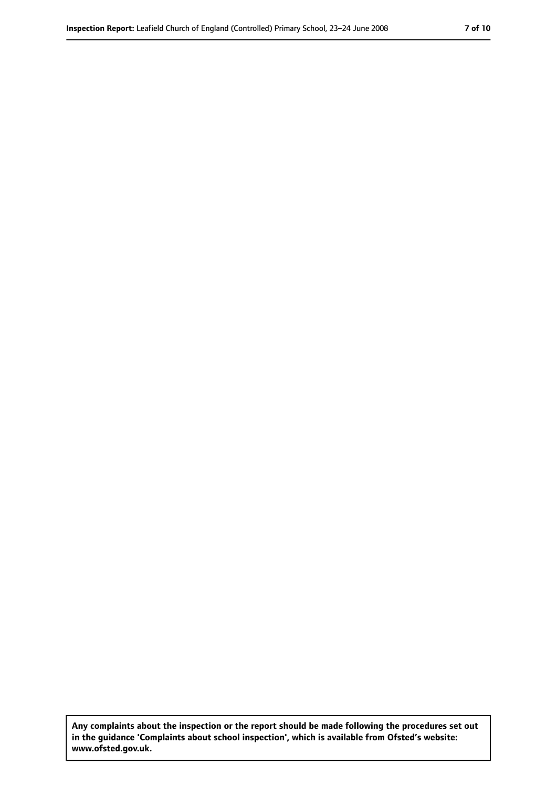**Any complaints about the inspection or the report should be made following the procedures set out in the guidance 'Complaints about school inspection', which is available from Ofsted's website: www.ofsted.gov.uk.**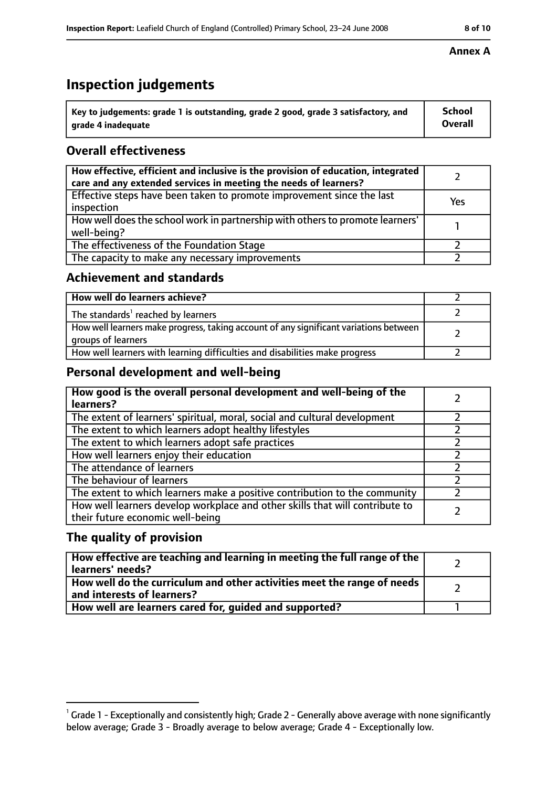# **Inspection judgements**

| $\degree$ Key to judgements: grade 1 is outstanding, grade 2 good, grade 3 satisfactory, and | School         |
|----------------------------------------------------------------------------------------------|----------------|
| arade 4 inadequate                                                                           | <b>Overall</b> |

### **Overall effectiveness**

| How effective, efficient and inclusive is the provision of education, integrated<br>care and any extended services in meeting the needs of learners? |     |
|------------------------------------------------------------------------------------------------------------------------------------------------------|-----|
| Effective steps have been taken to promote improvement since the last<br>inspection                                                                  | Yes |
| How well does the school work in partnership with others to promote learners'<br>well-being?                                                         |     |
| The effectiveness of the Foundation Stage                                                                                                            |     |
| The capacity to make any necessary improvements                                                                                                      |     |

### **Achievement and standards**

| How well do learners achieve?                                                                               |  |
|-------------------------------------------------------------------------------------------------------------|--|
| The standards <sup>1</sup> reached by learners                                                              |  |
| How well learners make progress, taking account of any significant variations between<br>groups of learners |  |
| How well learners with learning difficulties and disabilities make progress                                 |  |

# **Personal development and well-being**

| How good is the overall personal development and well-being of the<br>learners?                                  |  |
|------------------------------------------------------------------------------------------------------------------|--|
| The extent of learners' spiritual, moral, social and cultural development                                        |  |
| The extent to which learners adopt healthy lifestyles                                                            |  |
| The extent to which learners adopt safe practices                                                                |  |
| How well learners enjoy their education                                                                          |  |
| The attendance of learners                                                                                       |  |
| The behaviour of learners                                                                                        |  |
| The extent to which learners make a positive contribution to the community                                       |  |
| How well learners develop workplace and other skills that will contribute to<br>their future economic well-being |  |

### **The quality of provision**

| How effective are teaching and learning in meeting the full range of the<br>learners' needs?          |  |
|-------------------------------------------------------------------------------------------------------|--|
| How well do the curriculum and other activities meet the range of needs<br>and interests of learners? |  |
| How well are learners cared for, quided and supported?                                                |  |

#### **Annex A**

 $^1$  Grade 1 - Exceptionally and consistently high; Grade 2 - Generally above average with none significantly below average; Grade 3 - Broadly average to below average; Grade 4 - Exceptionally low.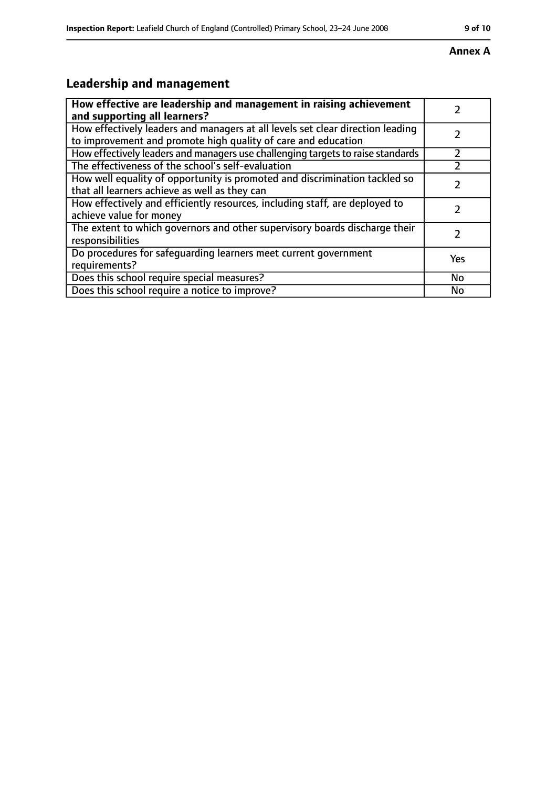#### **Annex A**

# **Leadership and management**

| How effective are leadership and management in raising achievement<br>and supporting all learners?                                              |     |
|-------------------------------------------------------------------------------------------------------------------------------------------------|-----|
| How effectively leaders and managers at all levels set clear direction leading<br>to improvement and promote high quality of care and education |     |
| How effectively leaders and managers use challenging targets to raise standards                                                                 |     |
| The effectiveness of the school's self-evaluation                                                                                               |     |
| How well equality of opportunity is promoted and discrimination tackled so<br>that all learners achieve as well as they can                     |     |
| How effectively and efficiently resources, including staff, are deployed to<br>achieve value for money                                          |     |
| The extent to which governors and other supervisory boards discharge their<br>responsibilities                                                  |     |
| Do procedures for safequarding learners meet current government<br>requirements?                                                                | Yes |
| Does this school require special measures?                                                                                                      | No  |
| Does this school require a notice to improve?                                                                                                   | No  |